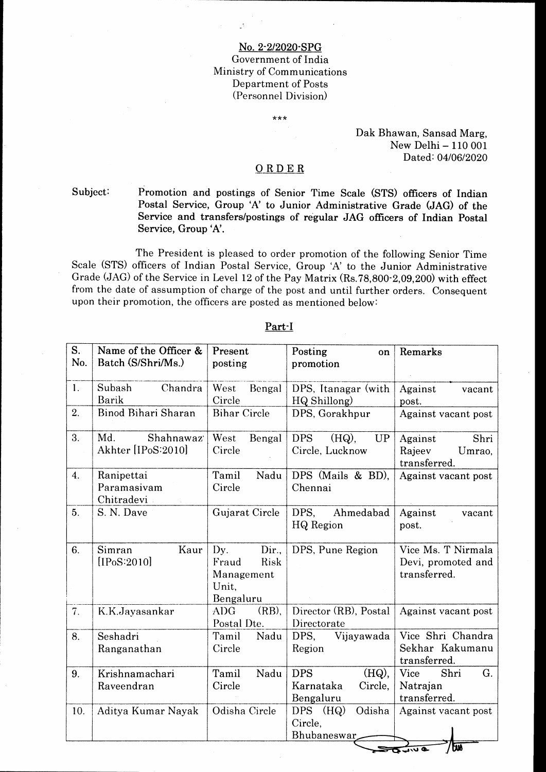## No.2'2I2020-SPG Government of India Ministry of Communications Department of Posts (Personnel Division)

\*\*\*

Dak Bhawan, Sansad Marg, New Delhi - 110 001 Dated: 04/06/2020

# ORDER

Subject

Promotion and postings of Senior Time Scale (STS) officers of Indian Postal Service, Group 'A' to Junior Administrative Grade (JAG) of the Service and transfers/postings of regular JAG ofricers of Indian Postal Service, Group'A'.

The President is pleased to order promotion of the following Senior Time Scale (STS) officers of Indian Postal Service, Group 'A' to the Junior Administrative Grade (JAG) of the Service in Level 12 of the Pay Matrix (Rs.78,800-2,09,200) with effect from the date of assumption of charge of the post and until further orders. Consequent upon their promotion, the officers are posted as mentioned below:

| S.<br>No.        | Name of the Officer &<br>Batch (S/Shri/Ms.) | Present<br>posting                                                | Posting<br>on<br>promotion                                  | Remarks                                                  |
|------------------|---------------------------------------------|-------------------------------------------------------------------|-------------------------------------------------------------|----------------------------------------------------------|
| $\mathbf{1}$ .   | Subash<br>Chandra<br>Barik                  | West<br>Bengal<br>Circle                                          | DPS, Itanagar (with<br>HQ Shillong)                         | Against<br>vacant<br>post.                               |
| 2.               | Binod Bihari Sharan                         | <b>Bihar Circle</b>                                               | DPS, Gorakhpur                                              | Against vacant post                                      |
| 3.               | Md.<br>Shahnawaz<br>Akhter [IPoS:2010]      | West<br>Bengal<br>Circle                                          | <b>DPS</b><br>$(HQ)$ ,<br><b>UP</b><br>Circle, Lucknow      | Shri<br>Against<br>Rajeev<br>Umrao,<br>transferred.      |
| $\overline{4}$ . | Ranipettai<br>Paramasivam<br>Chitradevi     | Tamil<br>Nadu<br>Circle                                           | DPS (Mails & BD),<br>Chennai                                | Against vacant post                                      |
| 5 <sub>1</sub>   | S. N. Dave                                  | Gujarat Circle                                                    | DPS,<br>Ahmedabad<br>HQ Region                              | Against<br>vacant<br>post.                               |
| 6.               | Kaur<br>Simran<br>[IPoS:2010]               | Dir.,<br>Dy.<br>Fraud<br>Risk<br>Management<br>Unit.<br>Bengaluru | DPS, Pune Region                                            | Vice Ms. T Nirmala<br>Devi, promoted and<br>transferred. |
| 7.               | K.K.Jayasankar                              | $(RB)$ ,<br><b>ADG</b><br>Postal Dte.                             | Director (RB), Postal<br>Directorate                        | Against vacant post                                      |
| 8.               | Seshadri<br>Ranganathan                     | Tamil<br>Nadu<br>Circle                                           | DPS,<br>Vijayawada<br>Region                                | Vice Shri Chandra<br>Sekhar Kakumanu<br>transferred.     |
| 9.               | Krishnamachari<br>Raveendran                | Tamil<br>Nadu<br>Circle                                           | <b>DPS</b><br>$(HQ)$ ,<br>Karnataka<br>Circle,<br>Bengaluru | <b>Vice</b><br>Shri<br>G.<br>Natrajan<br>transferred.    |
| 10.              | Aditya Kumar Nayak                          | Odisha Circle                                                     | Odisha<br>$DPS$ $(HQ)$<br>Circle,<br><b>Bhubaneswar</b>     | Against vacant post<br>мī                                |

Part'I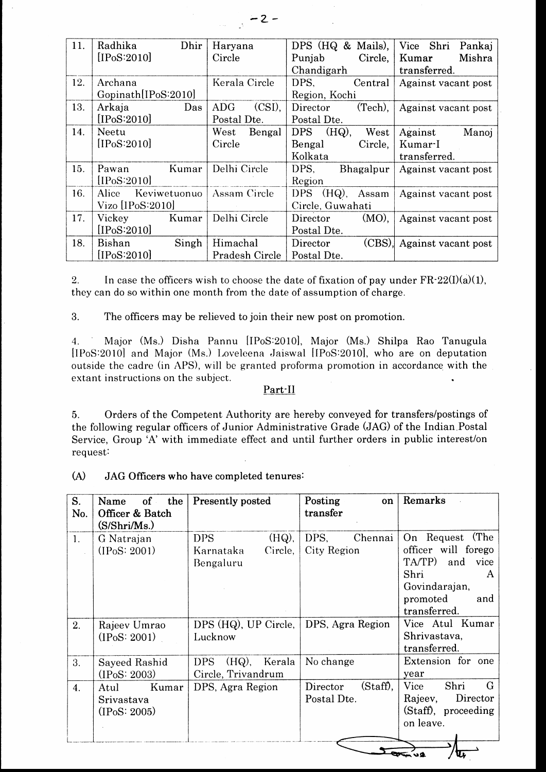| 11. | Radhika<br>Dhir       | Haryana                 | DPS (HQ & Mails),        | Vice Shri<br>Pankaj |
|-----|-----------------------|-------------------------|--------------------------|---------------------|
|     | [IPoS:2010]           | Circle                  | Circle,<br>Punjab        | Mishra<br>Kumar     |
|     |                       |                         | Chandigarh               | transferred.        |
| 12. | Archana               | Kerala Circle           | DPS.<br>Central          | Against vacant post |
|     | Gopinath[IPoS:2010]   |                         | Region, Kochi            |                     |
| 13. | Arkaja<br>Das         | $(CSI)$ ,<br><b>ADG</b> | (Tech),<br>Director      | Against vacant post |
|     | [IPoS:2010]           | Postal Dte.             | Postal Dte.              |                     |
| 14. | Neetu                 | ${\rm West}$<br>Bengal  | $(HQ)$ ,<br>DPS<br>West  | Against<br>Manoj    |
|     | [IPoS:2010]           | Circle                  | Circle,<br>Bengal        | Kumar-I             |
|     |                       |                         | Kolkata                  | transferred.        |
| 15. | Kumar<br>Pawan        | Delhi Circle            | DPS.<br>Bhagalpur        | Against vacant post |
|     | [IPoS:2010]           |                         | Region                   |                     |
| 16. | Keviwetuonuo<br>Alice | Assam Circle            | DPS<br>$(HQ)$ ,<br>Assam | Against vacant post |
|     | Vizo [IPoS:2010]      |                         | Circle, Guwahati         |                     |
| 17. | Vickey<br>Kumar       | Delhi Circle            | $(MO)$ ,<br>Director     | Against vacant post |
|     | [IPoS:2010]           |                         | Postal Dte.              |                     |
| 18. | Singh<br>Bishan       | Himachal                | (CBS)<br>Director        | Against vacant post |
|     | [IPoS:2010]           | Pradesh Circle          | Postal Dte.              |                     |

2. In case the officers wish to choose the date of fixation of pay under  $FR-22(I)(a)(1)$ , they can do so within one month from the date of assumption of charge.

3. The officers may be relieved to join their new post on promotion.

4. Major (Ms.) Disha Pannu [IPoS:2010], Major (Ms.) Shilpa Rao Tanugula [IPoS:2010] and Major (Ms.) Loveleena Jaiswal [IPoS:2010], who are on deputation outside the cadre (in APS), will be granted proforma promotion in accordance with the extant instructions on the subject.

# part-Il

5. Orders of the Competent Authority are hereby conveyed for transfers/postings of the following regular officers of Junior Administrative Grade (JAG) of the Indian.Postal Service, Group 'A' with immediate effect and until further orders in public interest/on request:

| (A)<br>JAG Officers who have completed tenures: |
|-------------------------------------------------|
|-------------------------------------------------|

| S.<br>No.      | of<br>the<br>Name<br>Officer & Batch<br>(S/Shri/Ms.)           | Presently posted                                            | Posting<br>on<br>transfer           | Remarks                                                                                                                          |  |
|----------------|----------------------------------------------------------------|-------------------------------------------------------------|-------------------------------------|----------------------------------------------------------------------------------------------------------------------------------|--|
| 1.             | G Natrajan<br>(IPoS: 2001)                                     | $(HQ)$ ,<br><b>DPS</b><br>Karnataka<br>Circle,<br>Bengaluru | DPS.<br>Chennai<br>City Region      | (The<br>On Request<br>officer will forego<br>TA/TP)<br>and vice<br>Shri<br>A<br>Govindarajan,<br>promoted<br>and<br>transferred. |  |
| 2 <sub>1</sub> | Rajeev Umrao<br>$(1\text{PoS}: 2001)$                          | DPS (HQ), UP Circle,<br>Lucknow                             | DPS, Agra Region                    | Vice Atul Kumar<br>Shrivastava,<br>transferred.                                                                                  |  |
| 3.             | Sayeed Rashid<br>(IPoS: 2003)                                  | (HQ), Kerala<br><b>DPS</b><br>Circle, Trivandrum            | No change                           | Extension for one<br>year                                                                                                        |  |
| 4.             | Kumar<br>Atul<br>Srivastava<br>$($ IP <sub>0</sub> S: 2005 $)$ | DPS, Agra Region                                            | (Staff),<br>Director<br>Postal Dte. | G<br>Shri<br>Vice<br>Rajeev,<br>Director<br>(Staff), proceeding<br>on leave.                                                     |  |
|                |                                                                |                                                             |                                     |                                                                                                                                  |  |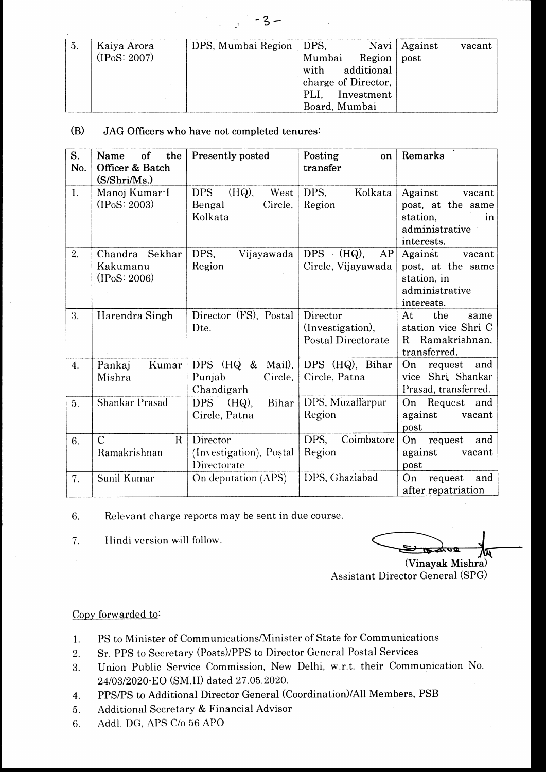| -5. | Kaiya Arora | DPS, Mumbai Region   DPS, |                     |               | Navi   Against | vacant |
|-----|-------------|---------------------------|---------------------|---------------|----------------|--------|
|     | (IPS: 2007) |                           | Mumbai              | Region   post |                |        |
|     |             |                           | with additional     |               |                |        |
|     |             |                           | charge of Director, |               |                |        |
|     |             |                           | PLI, Investment     |               |                |        |
|     |             |                           | Board, Mumbai       |               |                |        |

#### (B) JAG Officers who have not completed tenures:

| S.<br>No.        | of<br>the<br>Name<br>Officer & Batch<br>(S/Shri/Ms.) | Presently posted                                               | Posting<br>on<br>transfer                                 | Remarks                                                                                  |
|------------------|------------------------------------------------------|----------------------------------------------------------------|-----------------------------------------------------------|------------------------------------------------------------------------------------------|
| $\mathbf{1}$ .   | Manoj Kumar-I<br>(IPoS: 2003)                        | <b>DPS</b><br>$(HQ)$ ,<br>West<br>Bengal<br>Circle,<br>Kolkata | DPS,<br>Kolkata<br>Region                                 | Against<br>vacant<br>post, at the same<br>station,<br>in<br>administrative<br>interests. |
| 2.               | Chandra Sekhar<br>Kakumanu<br>(IPS: 2006)            | DPS,<br>Vijayawada<br>Region                                   | <b>DPS</b><br>$(HQ)$ ,<br>AP<br>Circle, Vijayawada        | Against<br>vacant<br>post, at the same<br>station, in<br>administrative<br>interests.    |
| 3.               | Harendra Singh                                       | Director (FS), Postal<br>D <sub>te</sub> .                     | Director<br>(Investigation),<br><b>Postal Directorate</b> | the<br>At<br>same<br>station vice Shri C<br>Ramakrishnan,<br>R.<br>transferred.          |
| $\overline{4}$ . | Pankaj<br>Kumar<br>Mishra                            | Mail),<br>DPS $(HQ \&$<br>Circle,<br>Punjab<br>Chandigarh      | DPS (HQ), Bihar<br>Circle, Patna                          | On<br>request<br>and<br>vice Shri Shankar<br>Prasad, transferred.                        |
| 5 <sub>1</sub>   | Shankar Prasad                                       | $(HQ)$ ,<br>DPS<br>Bihar<br>Circle, Patna                      | DPS, Muzaffarpur<br>Region                                | Request<br>On<br>and<br>against<br>vacant<br>post                                        |
| 6.               | $\mathcal{C}$<br>$\mathbf{R}$<br>Ramakrishnan        | Director<br>(Investigation), Postal<br>Directorate             | Coimbatore<br>DPS,<br>Region                              | On<br>and<br>request<br>against<br>vacant<br>post                                        |
| 7.               | Sunil Kumar                                          | On deputation (APS)                                            | DPS, Ghaziabad                                            | On<br>request<br>and<br>after repatriation                                               |

6. Relevant charge reports may be sent in due course

l. Hindi version will follow.

m

(Vinayak Assistant Director General (SPG)

#### Copy forwarded to:

- 1. PS to Minister of Communications/Minister of State for Communications
- 2. Sr. PPS to Secretary (Posts)/PPS to Director General Postal Services
- 3. Union Public Service Commission, New Delhi, w.r.t. their Communication No. 24/03/2020·EO (SM.II) dated 27.05.2020.
- 4. PPS/PS to Additional Director General (Coordination)/All Members, PSB
- 5. Additional Secretary & Financial Advisor
- 6. Addl. DG, APS C/o 56 APO